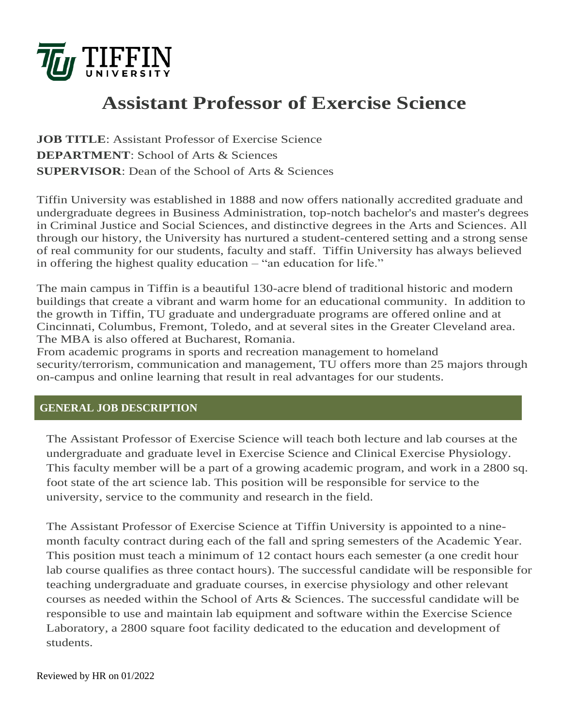

# **Assistant Professor of Exercise Science**

**JOB TITLE**: Assistant Professor of Exercise Science **DEPARTMENT**: School of Arts & Sciences **SUPERVISOR**: Dean of the School of Arts & Sciences

Tiffin University was established in 1888 and now offers nationally accredited graduate and undergraduate degrees in Business Administration, top-notch bachelor's and master's degrees in Criminal Justice and Social Sciences, and distinctive degrees in the Arts and Sciences. All through our history, the University has nurtured a student-centered setting and a strong sense of real community for our students, faculty and staff. Tiffin University has always believed in offering the highest quality education – "an education for life."

The main campus in Tiffin is a beautiful 130-acre blend of traditional historic and modern buildings that create a vibrant and warm home for an educational community. In addition to the growth in Tiffin, TU graduate and undergraduate programs are offered online and at Cincinnati, Columbus, Fremont, Toledo, and at several sites in the Greater Cleveland area. The MBA is also offered at Bucharest, Romania.

From academic programs in sports and recreation management to homeland security/terrorism, communication and management, TU offers more than 25 majors through on-campus and online learning that result in real advantages for our students.

### **GENERAL JOB DESCRIPTION**

The Assistant Professor of Exercise Science will teach both lecture and lab courses at the undergraduate and graduate level in Exercise Science and Clinical Exercise Physiology. This faculty member will be a part of a growing academic program, and work in a 2800 sq. foot state of the art science lab. This position will be responsible for service to the university, service to the community and research in the field.

The Assistant Professor of Exercise Science at Tiffin University is appointed to a ninemonth faculty contract during each of the fall and spring semesters of the Academic Year. This position must teach a minimum of 12 contact hours each semester (a one credit hour lab course qualifies as three contact hours). The successful candidate will be responsible for teaching undergraduate and graduate courses, in exercise physiology and other relevant courses as needed within the School of Arts & Sciences. The successful candidate will be responsible to use and maintain lab equipment and software within the Exercise Science Laboratory, a 2800 square foot facility dedicated to the education and development of students.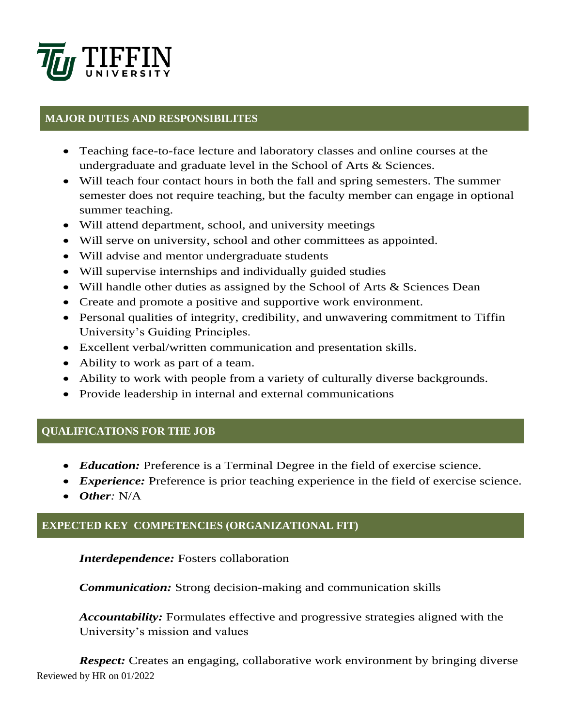

## **MAJOR DUTIES AND RESPONSIBILITES**

- Teaching face-to-face lecture and laboratory classes and online courses at the undergraduate and graduate level in the School of Arts & Sciences.
- Will teach four contact hours in both the fall and spring semesters. The summer semester does not require teaching, but the faculty member can engage in optional summer teaching.
- Will attend department, school, and university meetings
- Will serve on university, school and other committees as appointed.
- Will advise and mentor undergraduate students
- Will supervise internships and individually guided studies
- Will handle other duties as assigned by the School of Arts & Sciences Dean
- Create and promote a positive and supportive work environment.
- Personal qualities of integrity, credibility, and unwavering commitment to Tiffin University's Guiding Principles.
- Excellent verbal/written communication and presentation skills.
- Ability to work as part of a team.
- Ability to work with people from a variety of culturally diverse backgrounds.
- Provide leadership in internal and external communications

### **QUALIFICATIONS FOR THE JOB**

- *Education:* Preference is a Terminal Degree in the field of exercise science.
- *Experience:* Preference is prior teaching experience in the field of exercise science.
- *Other:* N/A

### **EXPECTED KEY COMPETENCIES (ORGANIZATIONAL FIT)**

### *Interdependence:* Fosters collaboration

*Communication:* Strong decision-making and communication skills

*Accountability:* Formulates effective and progressive strategies aligned with the University's mission and values

Reviewed by HR on 01/2022 *Respect:* Creates an engaging, collaborative work environment by bringing diverse